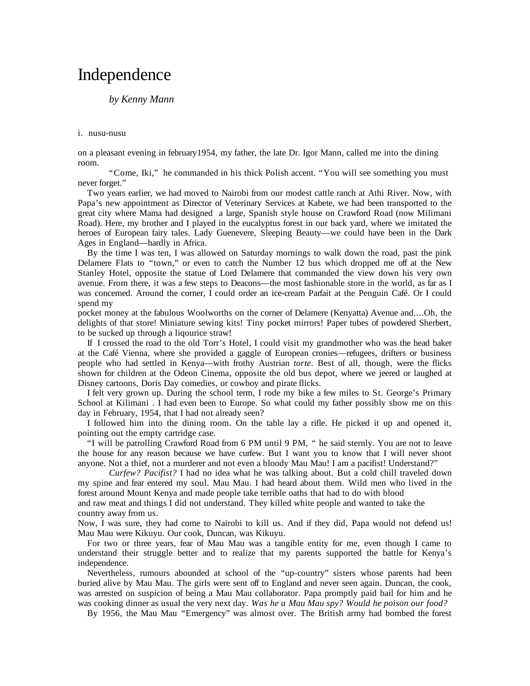# Independence

## *by Kenny Mann*

#### i. nusu-nusu

on a pleasant evening in february1954, my father, the late Dr. Igor Mann, called me into the dining room.

 "Come, Iki," he commanded in his thick Polish accent. "You will see something you must never forget."

Two years earlier, we had moved to Nairobi from our modest cattle ranch at Athi River. Now, with Papa's new appointment as Director of Veterinary Services at Kabete, we had been transported to the great city where Mama had designed a large, Spanish style house on Crawford Road (now Milimani Road). Here, my brother and I played in the eucalyptus forest in our back yard, where we imitated the heroes of European fairy tales. Lady Guenevere, Sleeping Beauty—we could have been in the Dark Ages in England—hardly in Africa.

By the time I was ten, I was allowed on Saturday mornings to walk down the road, past the pink Delamere Flats to "town," or even to catch the Number 12 bus which dropped me off at the New Stanley Hotel, opposite the statue of Lord Delamere that commanded the view down his very own avenue. From there, it was a few steps to Deacons—the most fashionable store in the world, as far as I was concerned. Around the corner, I could order an ice-cream Parfait at the Penguin Café. Or I could spend my

pocket money at the fabulous Woolworths on the corner of Delamere (Kenyatta) Avenue and....Oh, the delights of that store! Miniature sewing kits! Tiny pocket mirrors! Paper tubes of powdered Sherbert, to be sucked up through a liqourice straw!

If I crossed the road to the old Torr's Hotel, I could visit my grandmother who was the head baker at the Café Vienna, where she provided a gaggle of European cronies—refugees, drifters or business people who had settled in Kenya—with frothy Austrian *torte*. Best of all, though, were the flicks shown for children at the Odeon Cinema, opposite the old bus depot, where we jeered or laughed at Disney cartoons, Doris Day comedies, or cowboy and pirate flicks.

I felt very grown up. During the school term, I rode my bike a few miles to St. George's Primary School at Kilimani . I had even been to Europe. So what could my father possibly show me on this day in February, 1954, that I had not already seen?

I followed him into the dining room. On the table lay a rifle. He picked it up and opened it, pointing out the empty cartridge case.

"I will be patrolling Crawford Road from 6 PM until 9 PM, " he said sternly. You are not to leave the house for any reason because we have curfew. But I want you to know that I will never shoot anyone. Not a thief, not a murderer and not even a bloody Mau Mau! I am a pacifist! Understand?"

 *Curfew? Pacifist?* I had no idea what he was talking about. But a cold chill traveled down my spine and fear entered my soul. Mau Mau. I had heard about them. Wild men who lived in the forest around Mount Kenya and made people take terrible oaths that had to do with blood

and raw meat and things I did not understand. They killed white people and wanted to take the country away from us.

Now, I was sure, they had come to Nairobi to kill us. And if they did, Papa would not defend us! Mau Mau were Kikuyu. Our cook, Duncan, was Kikuyu.

For two or three years, fear of Mau Mau was a tangible entity for me, even though I came to understand their struggle better and to realize that my parents supported the battle for Kenya's independence.

Nevertheless, rumours abounded at school of the "up-country" sisters whose parents had been buried alive by Mau Mau. The girls were sent off to England and never seen again. Duncan, the cook, was arrested on suspicion of being a Mau Mau collaborator. Papa promptly paid bail for him and he was cooking dinner as usual the very next day. *Was he a Mau Mau spy? Would he poison our food?* 

By 1956, the Mau Mau "Emergency" was almost over. The British army had bombed the forest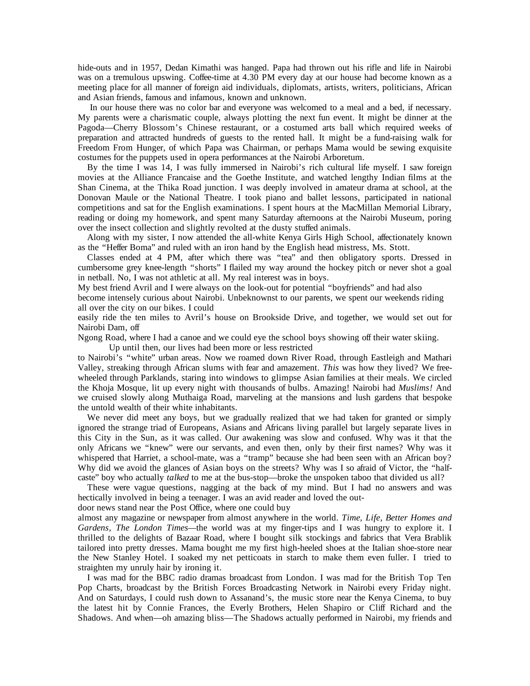hide-outs and in 1957, Dedan Kimathi was hanged. Papa had thrown out his rifle and life in Nairobi was on a tremulous upswing. Coffee-time at 4.30 PM every day at our house had become known as a meeting place for all manner of foreign aid individuals, diplomats, artists, writers, politicians, African and Asian friends, famous and infamous, known and unknown.

 In our house there was no color bar and everyone was welcomed to a meal and a bed, if necessary. My parents were a charismatic couple, always plotting the next fun event. It might be dinner at the Pagoda—Cherry Blossom's Chinese restaurant, or a costumed arts ball which required weeks of preparation and attracted hundreds of guests to the rented hall. It might be a fund-raising walk for Freedom From Hunger, of which Papa was Chairman, or perhaps Mama would be sewing exquisite costumes for the puppets used in opera performances at the Nairobi Arboretum.

By the time I was 14, I was fully immersed in Nairobi's rich cultural life myself. I saw foreign movies at the Alliance Francaise and the Goethe Institute, and watched lengthy Indian films at the Shan Cinema, at the Thika Road junction. I was deeply involved in amateur drama at school, at the Donovan Maule or the National Theatre. I took piano and ballet lessons, participated in national competitions and sat for the English examinations. I spent hours at the MacMillan Memorial Library, reading or doing my homework, and spent many Saturday afternoons at the Nairobi Museum, poring over the insect collection and slightly revolted at the dusty stuffed animals.

Along with my sister, I now attended the all-white Kenya Girls High School, affectionately known as the "Heffer Boma" and ruled with an iron hand by the English head mistress, Ms. Stott.

Classes ended at 4 PM, after which there was "tea" and then obligatory sports. Dressed in cumbersome grey knee-length "shorts" I flailed my way around the hockey pitch or never shot a goal in netball. No, I was not athletic at all. My real interest was in boys.

My best friend Avril and I were always on the look-out for potential "boyfriends" and had also

become intensely curious about Nairobi. Unbeknownst to our parents, we spent our weekends riding all over the city on our bikes. I could

easily ride the ten miles to Avril's house on Brookside Drive, and together, we would set out for Nairobi Dam, off

Ngong Road, where I had a canoe and we could eye the school boys showing off their water skiing.

Up until then, our lives had been more or less restricted

to Nairobi's "white" urban areas. Now we roamed down River Road, through Eastleigh and Mathari Valley, streaking through African slums with fear and amazement. *This* was how they lived? We freewheeled through Parklands, staring into windows to glimpse Asian families at their meals. We circled the Khoja Mosque, lit up every night with thousands of bulbs. Amazing! Nairobi had *Muslims!* And we cruised slowly along Muthaiga Road, marveling at the mansions and lush gardens that bespoke the untold wealth of their white inhabitants.

We never did meet any boys, but we gradually realized that we had taken for granted or simply ignored the strange triad of Europeans, Asians and Africans living parallel but largely separate lives in this City in the Sun, as it was called. Our awakening was slow and confused. Why was it that the only Africans we "knew" were our servants, and even then, only by their first names? Why was it whispered that Harriet, a school-mate, was a "tramp" because she had been seen with an African boy? Why did we avoid the glances of Asian boys on the streets? Why was I so afraid of Victor, the "halfcaste" boy who actually *talked* to me at the bus-stop—broke the unspoken taboo that divided us all?

These were vague questions, nagging at the back of my mind. But I had no answers and was hectically involved in being a teenager. I was an avid reader and loved the out-

door news stand near the Post Office, where one could buy

almost any magazine or newspaper from almost anywhere in the world. *Time, Life, Better Homes and Gardens, The London Times—*the world was at my finger-tips and I was hungry to explore it. I thrilled to the delights of Bazaar Road, where I bought silk stockings and fabrics that Vera Brablik tailored into pretty dresses. Mama bought me my first high-heeled shoes at the Italian shoe-store near the New Stanley Hotel. I soaked my net petticoats in starch to make them even fuller. I tried to straighten my unruly hair by ironing it.

I was mad for the BBC radio dramas broadcast from London. I was mad for the British Top Ten Pop Charts, broadcast by the British Forces Broadcasting Network in Nairobi every Friday night. And on Saturdays, I could rush down to Assanand's, the music store near the Kenya Cinema, to buy the latest hit by Connie Frances, the Everly Brothers, Helen Shapiro or Cliff Richard and the Shadows. And when—oh amazing bliss—The Shadows actually performed in Nairobi, my friends and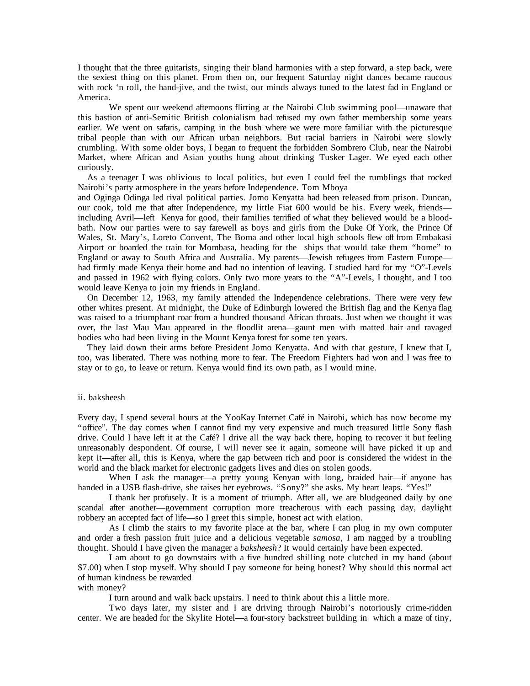I thought that the three guitarists, singing their bland harmonies with a step forward, a step back, were the sexiest thing on this planet. From then on, our frequent Saturday night dances became raucous with rock 'n roll, the hand-jive, and the twist, our minds always tuned to the latest fad in England or America.

 We spent our weekend afternoons flirting at the Nairobi Club swimming pool—unaware that this bastion of anti-Semitic British colonialism had refused my own father membership some years earlier. We went on safaris, camping in the bush where we were more familiar with the picturesque tribal people than with our African urban neighbors. But racial barriers in Nairobi were slowly crumbling. With some older boys, I began to frequent the forbidden Sombrero Club, near the Nairobi Market, where African and Asian youths hung about drinking Tusker Lager. We eyed each other curiously.

As a teenager I was oblivious to local politics, but even I could feel the rumblings that rocked Nairobi's party atmosphere in the years before Independence. Tom Mboya

and Oginga Odinga led rival political parties. Jomo Kenyatta had been released from prison. Duncan, our cook, told me that after Independence, my little Fiat 600 would be his. Every week, friends including Avril—left Kenya for good, their families terrified of what they believed would be a bloodbath. Now our parties were to say farewell as boys and girls from the Duke Of York, the Prince Of Wales, St. Mary's, Loreto Convent, The Boma and other local high schools flew off from Embakasi Airport or boarded the train for Mombasa, heading for the ships that would take them "home" to England or away to South Africa and Australia. My parents—Jewish refugees from Eastern Europe had firmly made Kenya their home and had no intention of leaving. I studied hard for my "O"-Levels and passed in 1962 with flying colors. Only two more years to the "A"-Levels, I thought, and I too would leave Kenya to join my friends in England.

On December 12, 1963, my family attended the Independence celebrations. There were very few other whites present. At midnight, the Duke of Edinburgh lowered the British flag and the Kenya flag was raised to a triumphant roar from a hundred thousand African throats. Just when we thought it was over, the last Mau Mau appeared in the floodlit arena—gaunt men with matted hair and ravaged bodies who had been living in the Mount Kenya forest for some ten years.

They laid down their arms before President Jomo Kenyatta. And with that gesture, I knew that I, too, was liberated. There was nothing more to fear. The Freedom Fighters had won and I was free to stay or to go, to leave or return. Kenya would find its own path, as I would mine.

#### ii. baksheesh

Every day, I spend several hours at the YooKay Internet Café in Nairobi, which has now become my "office". The day comes when I cannot find my very expensive and much treasured little Sony flash drive. Could I have left it at the Café? I drive all the way back there, hoping to recover it but feeling unreasonably despondent. Of course, I will never see it again, someone will have picked it up and kept it—after all, this is Kenya, where the gap between rich and poor is considered the widest in the world and the black market for electronic gadgets lives and dies on stolen goods.

When I ask the manager—a pretty young Kenyan with long, braided hair—if anyone has handed in a USB flash-drive, she raises her eyebrows. "Sony?" she asks. My heart leaps. "Yes!"

 I thank her profusely. It is a moment of triumph. After all, we are bludgeoned daily by one scandal after another—government corruption more treacherous with each passing day, daylight robbery an accepted fact of life—so I greet this simple, honest act with elation.

 As I climb the stairs to my favorite place at the bar, where I can plug in my own computer and order a fresh passion fruit juice and a delicious vegetable *samosa*, I am nagged by a troubling thought. Should I have given the manager a *baksheesh*? It would certainly have been expected.

 I am about to go downstairs with a five hundred shilling note clutched in my hand (about \$7.00) when I stop myself. Why should I pay someone for being honest? Why should this normal act of human kindness be rewarded

### with money?

I turn around and walk back upstairs. I need to think about this a little more.

 Two days later, my sister and I are driving through Nairobi's notoriously crime-ridden center. We are headed for the Skylite Hotel—a four-story backstreet building in which a maze of tiny,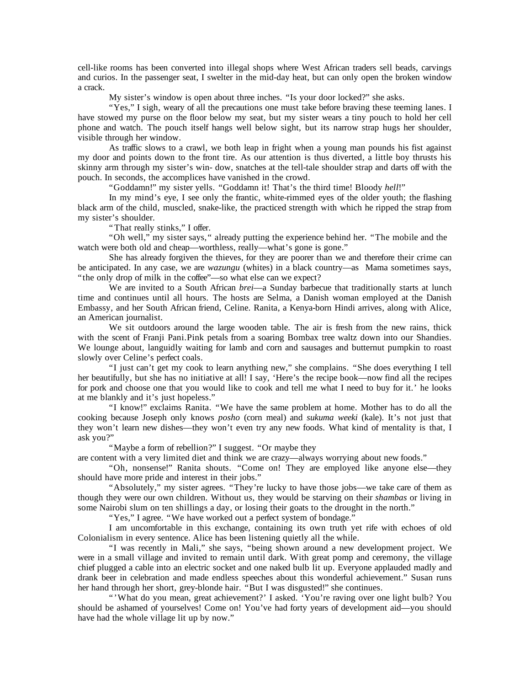cell-like rooms has been converted into illegal shops where West African traders sell beads, carvings and curios. In the passenger seat, I swelter in the mid-day heat, but can only open the broken window a crack.

My sister's window is open about three inches. "Is your door locked?" she asks.

 "Yes," I sigh, weary of all the precautions one must take before braving these teeming lanes. I have stowed my purse on the floor below my seat, but my sister wears a tiny pouch to hold her cell phone and watch. The pouch itself hangs well below sight, but its narrow strap hugs her shoulder, visible through her window.

 As traffic slows to a crawl, we both leap in fright when a young man pounds his fist against my door and points down to the front tire. As our attention is thus diverted, a little boy thrusts his skinny arm through my sister's win- dow, snatches at the tell-tale shoulder strap and darts off with the pouch. In seconds, the accomplices have vanished in the crowd.

"Goddamn!" my sister yells. "Goddamn it! That's the third time! Bloody *hell*!"

 In my mind's eye, I see only the frantic, white-rimmed eyes of the older youth; the flashing black arm of the child, muscled, snake-like, the practiced strength with which he ripped the strap from my sister's shoulder.

" That really stinks," I offer.

 "Oh well," my sister says," already putting the experience behind her. "The mobile and the watch were both old and cheap—worthless, really—what's gone is gone."

 She has already forgiven the thieves, for they are poorer than we and therefore their crime can be anticipated. In any case, we are *wazungu* (whites) in a black country—as Mama sometimes says, "the only drop of milk in the coffee"—so what else can we expect?

 We are invited to a South African *brei*—a Sunday barbecue that traditionally starts at lunch time and continues until all hours. The hosts are Selma, a Danish woman employed at the Danish Embassy, and her South African friend, Celine. Ranita, a Kenya-born Hindi arrives, along with Alice, an American journalist.

 We sit outdoors around the large wooden table. The air is fresh from the new rains, thick with the scent of Franji Pani.Pink petals from a soaring Bombax tree waltz down into our Shandies. We lounge about, languidly waiting for lamb and corn and sausages and butternut pumpkin to roast slowly over Celine's perfect coals.

 "I just can't get my cook to learn anything new," she complains. "She does everything I tell her beautifully, but she has no initiative at all! I say, 'Here's the recipe book—now find all the recipes for pork and choose one that you would like to cook and tell me what I need to buy for it.' he looks at me blankly and it's just hopeless."

 "I know!" exclaims Ranita. "We have the same problem at home. Mother has to do all the cooking because Joseph only knows *posho* (corn meal) and *sukuma weeki* (kale). It's not just that they won't learn new dishes—they won't even try any new foods. What kind of mentality is that, I ask you?"

"Maybe a form of rebellion?" I suggest. "Or maybe they

are content with a very limited diet and think we are crazy—always worrying about new foods."

 "Oh, nonsense!" Ranita shouts. "Come on! They are employed like anyone else—they should have more pride and interest in their jobs."

 "Absolutely," my sister agrees. "They're lucky to have those jobs—we take care of them as though they were our own children. Without us, they would be starving on their *shambas* or living in some Nairobi slum on ten shillings a day, or losing their goats to the drought in the north."

"Yes," I agree. "We have worked out a perfect system of bondage."

 I am uncomfortable in this exchange, containing its own truth yet rife with echoes of old Colonialism in every sentence. Alice has been listening quietly all the while.

 "I was recently in Mali," she says, "being shown around a new development project. We were in a small village and invited to remain until dark. With great pomp and ceremony, the village chief plugged a cable into an electric socket and one naked bulb lit up. Everyone applauded madly and drank beer in celebration and made endless speeches about this wonderful achievement." Susan runs her hand through her short, grey-blonde hair. "But I was disgusted!" she continues.

 "'What do you mean, great achievement?' I asked. 'You're raving over one light bulb? You should be ashamed of yourselves! Come on! You've had forty years of development aid—you should have had the whole village lit up by now."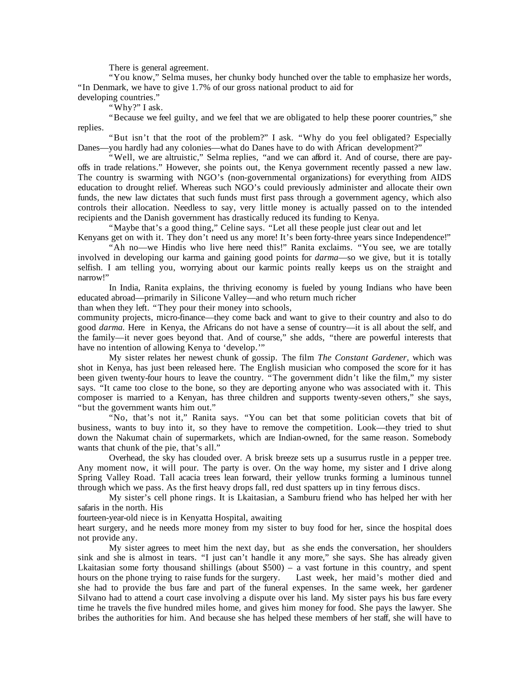There is general agreement.

 "You know," Selma muses, her chunky body hunched over the table to emphasize her words, "In Denmark, we have to give 1.7% of our gross national product to aid for

developing countries." "Why?" I ask.

 "Because we feel guilty, and we feel that we are obligated to help these poorer countries," she replies.

 "But isn't that the root of the problem?" I ask. "Why do you feel obligated? Especially Danes—you hardly had any colonies—what do Danes have to do with African development?"

 "Well, we are altruistic," Selma replies, "and we can afford it. And of course, there are payoffs in trade relations." However, she points out, the Kenya government recently passed a new law. The country is swarming with NGO's (non-governmental organizations) for everything from AIDS education to drought relief. Whereas such NGO's could previously administer and allocate their own funds, the new law dictates that such funds must first pass through a government agency, which also controls their allocation. Needless to say, very little money is actually passed on to the intended recipients and the Danish government has drastically reduced its funding to Kenya.

"Maybe that's a good thing," Celine says. "Let all these people just clear out and let

Kenyans get on with it. They don't need us any more! It's been forty-three years since Independence!" "Ah no—we Hindis who live here need this!" Ranita exclaims. "You see, we are totally involved in developing our karma and gaining good points for *darma*—so we give, but it is totally selfish. I am telling you, worrying about our karmic points really keeps us on the straight and narrow!"

 In India, Ranita explains, the thriving economy is fueled by young Indians who have been educated abroad—primarily in Silicone Valley—and who return much richer

than when they left. "They pour their money into schools,

community projects, micro-finance—they come back and want to give to their country and also to do good *darma.* Here in Kenya, the Africans do not have a sense of country—it is all about the self, and the family—it never goes beyond that. And of course," she adds, "there are powerful interests that have no intention of allowing Kenya to 'develop.'"

 My sister relates her newest chunk of gossip. The film *The Constant Gardener,* which was shot in Kenya, has just been released here. The English musician who composed the score for it has been given twenty-four hours to leave the country. "The government didn't like the film," my sister says. "It came too close to the bone, so they are deporting anyone who was associated with it. This composer is married to a Kenyan, has three children and supports twenty-seven others," she says, "but the government wants him out."

 "No, that's not it," Ranita says. "You can bet that some politician covets that bit of business, wants to buy into it, so they have to remove the competition. Look—they tried to shut down the Nakumat chain of supermarkets, which are Indian-owned, for the same reason. Somebody wants that chunk of the pie, that's all."

 Overhead, the sky has clouded over. A brisk breeze sets up a susurrus rustle in a pepper tree. Any moment now, it will pour. The party is over. On the way home, my sister and I drive along Spring Valley Road. Tall acacia trees lean forward, their yellow trunks forming a luminous tunnel through which we pass. As the first heavy drops fall, red dust spatters up in tiny ferrous discs.

 My sister's cell phone rings. It is Lkaitasian, a Samburu friend who has helped her with her safaris in the north. His

fourteen-year-old niece is in Kenyatta Hospital, awaiting

heart surgery, and he needs more money from my sister to buy food for her, since the hospital does not provide any.

 My sister agrees to meet him the next day, but as she ends the conversation, her shoulders sink and she is almost in tears. "I just can't handle it any more," she says. She has already given Lkaitasian some forty thousand shillings (about \$500) – a vast fortune in this country, and spent hours on the phone trying to raise funds for the surgery. Last week, her maid's mother died and hours on the phone trying to raise funds for the surgery. she had to provide the bus fare and part of the funeral expenses. In the same week, her gardener Silvano had to attend a court case involving a dispute over his land. My sister pays his bus fare every time he travels the five hundred miles home, and gives him money for food. She pays the lawyer. She bribes the authorities for him. And because she has helped these members of her staff, she will have to